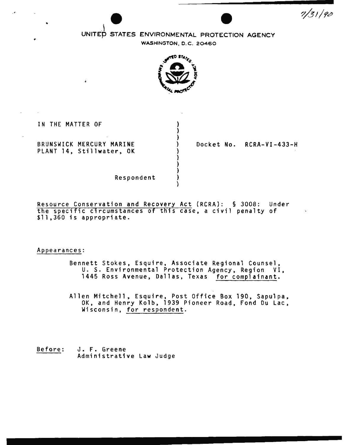$7/31/90$ 

# UNITED STATES ENVIRONMENTAL PROTECTION AGENCY

WASHINGTON, 0. C. 20460



} ) } ) } } } } )

IN THE MATTER OF

..

BRUNSWICK MERCURY MARINE PLANT 14, Stillwater, OK Docket No. RCRA-VI-433-H

Respondent

Resource Conservation and Recovery Act (RCRA}: § 3008: Under the specific circumstances of this case, a civil penalty of \$11.360 is appropriate.

Appearances:

Bennett Stokes, Esquire, Associate Regional Counsel, U. S. Environmental Protection Agency, Region VI, 1445 Ross Avenue, Dallas. Texas for complainant.

Allen Mitchell, Esquire, Post Office Box 190, Sapulpa, OK, and Henry Kolb, 1939 Pioneer Roa4, Fond Du Lac, Wisconsin, for respondent.

Before: J. F. Greene Administrative Law Judge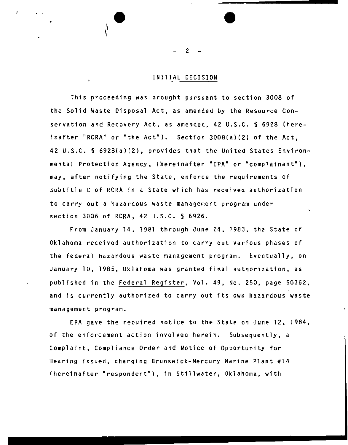# INITIAL DECISION

This proceeding was brought pursuant to section 3008 of the Solid Waste Disposal Act, as amended by the Resource Conservation and Recovery Act, as amended, 42 U.S.C. § 6928 (hereinafter "RCRA" or "the Act"). Section 3008(a)(2) of the Act, 42 U.S.C. § 6928(a)(2), provides that the United States Environmental Protection Agency, (hereinafter "EPA" or "complainant"), may, after notifying the State, enforce the requirements of Subtitle C of RCRA in a State which has received authorization to carry out a hazardous waste management program under section 3006 of RCRA, 42 U.S.C. § 6926.

From January 14, 1981 through June 24, 1983, the State of Oklahoma received authorization to carry out various phases of the federal hazardous waste management program. Eventually, on January 10, 1985, Oklahoma was granted final authorization, as published in the Federal Register, Vol. 49, No. 250, page 50362, and is currently authorized to carry out its own hazardous waste management program.

EPA gave the required notice to the State on June 12, 1984, of the enforcement action involved herein. Subsequently, a Complaint, Compliance Order and Notice of Opportunity for Hearing issued. charging Brunswick-Mercury Marine Plant #14 (hereinafter "respondent"), in Stillwater, Oklahoma, with

2

•

 $\ddot{\text{}}$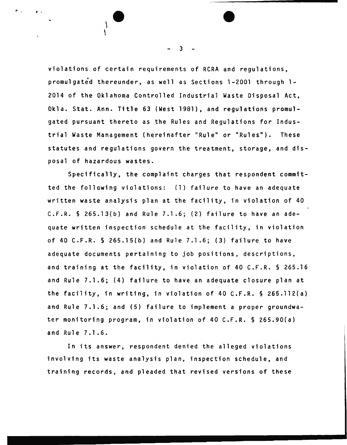violations of certain requirements of RCRA and regulations, promulgated thereunder, as well as Sections 1-2001 through 1-2014 of the Oklahoma Controlled Industrial Waste Disposal Act, Okla. Stat. Ann. Title 63 (West 1981), and regulations promulgated pursuant thereto as the Rules and Regulations for Industrial Waste Management (hereinafter "Rule" or "Rules"). These statutes and regulations govern the treatment, storage, and disposal of hazardous wastes.

Specifically, the complaint charges that respondent committed the following violations: (1) failure to have an adequate written waste analysis plan at the facility, in violation of 40 C.F.R. § 265.13(b) and Rule 7.1.6; (2) failure to have an adequate written inspection schedule at the facility, in violation of 40 C.F.R. § 265.15(b) and Rule 7.1.6; (3) failure to have adequate documents pertaining to job positions, descriptions, and training at the facility, in violation of 40 C.F.R. § 265.16 and Rule 7.1 .6; (4) failure to have an adequate closure plan at the facility, in writing, in violation of 40 C.F.R.  $\S$  265.112(a) and Rule 7.1.6; and (5) failure to implement a proper groundwater monitoring program, in violation of 40 C.F.R. § 265.90(a) and Rule 7.1.6.

In its answer, respondent denied the alleged violations involving its waste analysis plan, inspection schedule, and training records, and pleaded that revised versions of these

3

<sup>r</sup> , .f ' •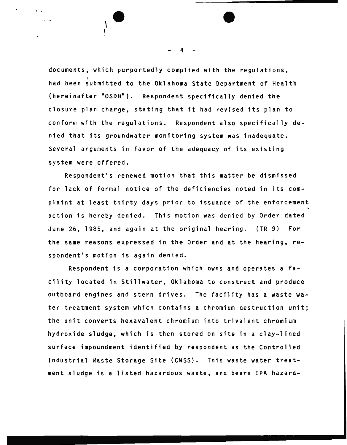documents, which purportedly complied with the regulations, had been submitted to the Oklahoma State Department of Health (hereinafter "OSDH"). Respondent specifically denied the closure plan charge, stating that it had revised its plan to conform with the regulations. Respondent also specifically denied that its groundwater monitoring system was inadequate. Several arguments in favor of the adequacy of its existing system were offered.

Respondent's renewed motion that this matter be dismissed for lack of formal notice of the deficiencies noted in its complaint at least thirty days prior to issuance of the enforcement action is hereby denied. This motion was denied by Order dated June 26, 1985, and again at the original hearing. (TR 9) For the same reasons expressed in the Order and at the hearing, respondent's motion is again denied.

Respondent is a corporation which owns and operates a facility located in Stillwater, Oklahoma to construct and produce outboard engines and stern drives. The facility has a waste water treatment system which contains a chromium destruction unit; the unit converts hexavalent chromium into trivalent chromium hydroxide sludge, which is then stored on site in a clay-lined surface impoundment identified by respondent as the Controlled Industrial Waste Storage Site (CWSS). This waste water treatment sludge is a listed hazardous waste, and bears EPA hazard-

4

 $\overline{\phantom{a}}$ 

r '

 $\cdot$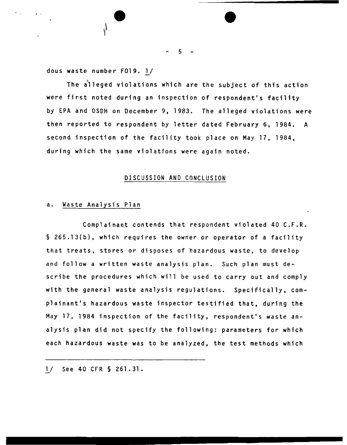dous waste number F019. 1/

The alleged violations which are the subject of this action were first noted during an inspection of respondent's facility by EPA and OSDH on December 9, 1983. The alleged violations were then reported to respondent by letter dated February 6, 1984. A second inspection of the facility took place on May 17, 1984, during which the same violations were again noted.

# DISCUSSION AND CONCLUSION

# a. Waste Analysis Plan

Complainant contends that respondent violated 40 C.F.R. § 265.13{b), which requires the owner or operator of a facility that treats, stores or disposes of hazardous waste, to develop and follow a written waste analysis plan. Such plan must describe the procedures which will be used to carry out and comply with the general waste analysis regulations. Specifically, complainant's hazardous waste inspector testified that, during the May 17, 1984 inspection of the facility, respondent's waste analysis plan did not specify the following: parameters for which each hazardous waste was to be analyzed, the test methods which

*]\_/* See 40 CFR § 261.31.

5

I • • •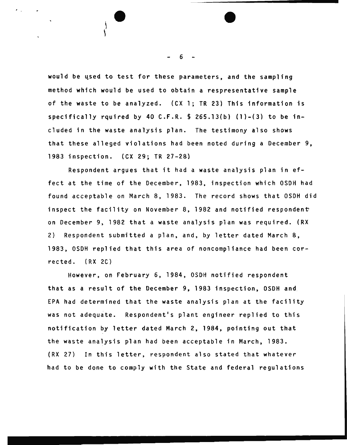would be used to test for these parameters, and the sampling method which would be used to obtain a respresentative sample of the waste to be analyzed. (CX 1; TR 23) This information is specifically rquired by 40 C.F.R.  $\S$  265.13(b) (1)-(3) to be ineluded in the waste analysis plan. The testimony also shows that these alleged violations had been noted during a December 9, 1983 inspection. (CX 29; TR 27-28)

Respondent argues that it had a waste analysis plan in effect at the time of the December, 1983. inspection which OSDH had found acceptable on March 8, 1983. The record shows that OSDH did inspect the facility on November 8, 1982 and notified respondent on December 9, 1982 that a waste analysis plan was required. (RX 2) Respondent submitted a plan, and, by letter dated March 8, 1983, OSDH replied that this area of noncompliance had been corrected. (RX 2C)

However, on February 6, 1984, OSDH notified respondent that as a result of the December 9, 1983 inspection, OSDH and EPA had determined that the waste analysis plan at the facility was not adequate. Respondent's plant engineer replied to this notification by letter dated March 2, 1984, pointing out that the waste analysis plan had been acceptable in March, 1983. {RX 27) In this letter, respondent also stated that whatever had to be done to comply with the State and federal regulations

6

 $\bullet$   $\overline{\bullet}$ 

 $\mathbf{L}$ 

 $\mathcal{L} = \mathcal{L}$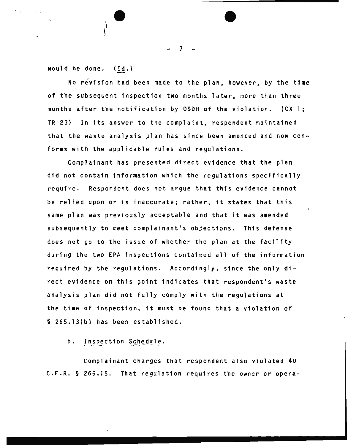would be done. (Id.}

 $\Delta \sim 1$ 

 $\bigg\}$ 

No revision had been made to the plan, however, by the time of the subsequent inspection two months later, more than three months after the notification by OSDH of the violation. (CX 1; TR 23) In its answer to the complaint, respondent maintained that the waste analysis plan has since been amended and now conforms with the applicable rules and regulations.

Complainant has presented direct evidence that the plan did not contain information which the regulations specifically require. Respondent does not argue that this evidence cannot be relied upon or is inaccurate; rather, it states that this same plan was previously acceptable and that it was amended subsequently to meet complainant's objections. This defense does not go to the issue of whether the plan at the facility during the two EPA inspections contained all of the information required by the regulations. Accordingly, since the only direct evidence on this point indicates that respondent's waste analysis plan did not fully comply with the regulations at the time of inspection, it must be found that a violation of § 265.13(b) has been established.

# b. Inspection Schedule.

Complainant charges that respondent also violated 40 C.F.R. § 265.15. That regulation requires the owner or opera-

7

**•**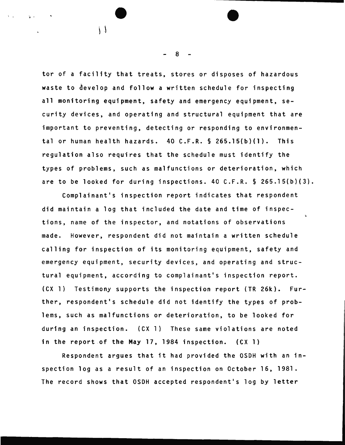tor of a facility that treats, stores or disposes of hazardous waste to develop and follow a written schedule for inspecting all monitoring equipment, safety and emergency equipment, security devices, and operating and structural equipment that are important to preventing, detecting or responding to environmental or human health hazards. 40 C.F.R. § 265.15(b)(l). This regulation also requires that the schedule must identify the types of problems, such as malfunctions or deterioration, which are to be looked for during inspections. 40 C.F.R. § 265.15(b)(3).

Complainant's inspection report indicates that respondent did maintain a log that included the date and time of inspections, name of the inspector, and notations of observations made. However, respondent did not maintain a written schedule calling for inspection of its monitoring equipment, safety and emergency equipment, security devices, and operating and structural equipment, according to complainant's inspection report. (CX 1) Testimony supports the inspection report (TR 26k). Further, respondent's schedule did not identify the types of problems, such as malfunctions or deterioration, to be looked for during an inspection. (CX 1) These same violations are noted in the report .of the May 17, 1984 inspection. (CX 1)

Respondent argues that it had provided the OSDH with an inspection log as a result of an inspection on October 16, 1981. The record shows that OSDH accepted respondent's log by letter

8

; ' ~ ' • •

 $\mathcal{L}$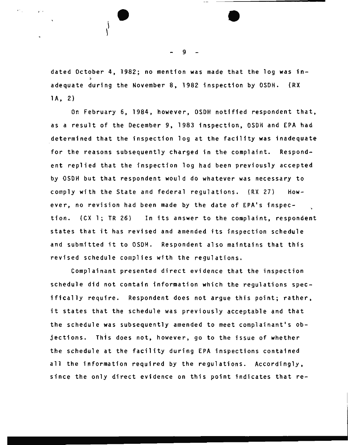dated October 4, 1982; no mention was made that the log was inadequate during the November 8, 1982 inspection by OSDH. (RX lA, 2)

On February 6, 1984, however, OSDH notified respondent that, as a result of the December 9, 1983 inspection, OSOH and EPA had determined that the inspection log at the facility was inadequate for the reasons subsequently charged in the complaint. Respondent replied that the inspection log had been previously accepted by OSOH but that respondent would do whatever was necessary to comply with the State and federal regulations. (RX 27} However, no revision had been made by the date of EPA's inspection. (CX 1; TR 26) In its answer to the complaint, respondent states that it has revised and amended its inspection schedule and submitted it to OSDH. Respondent also maintains that this revised schedule complies with the regulations.

Complainant presented direct evidence that the inspection schedule did not contain information which the regulations spec ifically require. Respondent does not argue this point; rather, it states that the schedule was previously acceptable and that the schedule was subsequently amended to meet complainant's objections. This does not, however, go to the issue of whether the schedule at the facility during EPA inspections contained all the information required by the regulations. Accordingly, since the only direct evidence on this point indicates that re-

9

,. ,· ' • •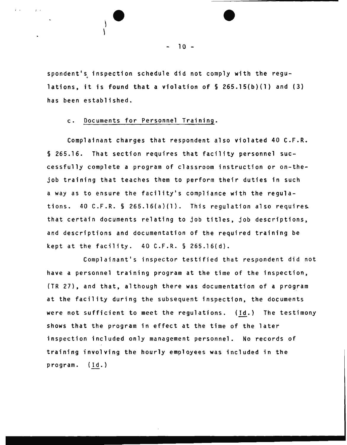spondent's inspection schedule did not comply with the regulations, it is found that a violation of§ 265.15(b)(l) and (3) has been established.

### c. Documents for Personnel Training.

; ' ) ' •

Complainant charges that respondent also violated 40 C.F.R. § 265.16. That section requires that facility personnel successfully complete a program of classroom instruction or on-thejob training that teaches them to perform their duties in such a way as to ensure the facility's compliance with the regulations.  $40$  C.F.R. § 265.16(a)(1). This regulation also requires. that certain documents relating to job titles, job descriptions, and descriptions and documentation of the required training be kept at the facility.  $40$  C.F.R.  $\S$  265.16(d).

Complainant's inspector testified that respondent did not have a personnel training program at the time of the inspection, (TR 27), and that, although there was documentation of a program at the facility during the subsequent inspection, the documents were not sufficient to meet the regulations. (Id.) The testimony shows that the program in effect at the time of the later inspection included only management personnel. No records of training involving the hourly employees was included in the program. (Id.)

 $10 -$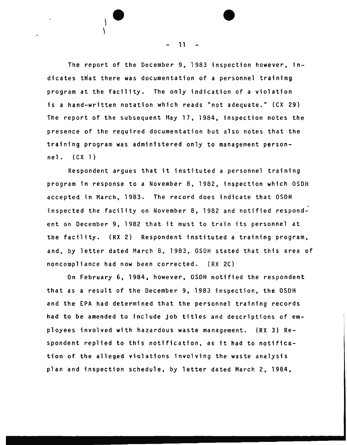The report of the December 9, 1983 inspection however, indicates that there was documentation of a personnel training program at the facility. The only indication of a violation is a hand-written notation which reads "not adequate." (CX 29) The report of the subsequent May 17, 1984, inspection notes the presence of the required documentation but also notes that the training program was administered only to management personnel. (CXl)

Respondent argues that it instituted a personnel training program in response to a November 8, 1982, inspection which OSDH accepted in March, 1983. The record does indicate that OSDH inspected the facility on November 8, 1982 and notified respond- $\stackrel{\cdot}{\cdot}$ ent on December 9, 1982 that it must to train its personnel at the facility. (RX 2) Respondent instituted a training program, and, by letter dated March 8, 1983, OSDH stated that this area of noncompliance had now been corrected. {RX 2C)

On February 6, 1984, however, OSDH notified the respondent that as a result of the December 9, 1983 inspection, the OSDH and the EPA had determined that the personnel training records had to be amended to include job titles and descriptions of employees involved with hazardous waste management. (RX 3) Respondent replied to this notification, as it had to notification of the alleged violations involving the waste analysis plan and inspection schedule, by letter dated March 2, 1984,

11

•

,.

 $\vert$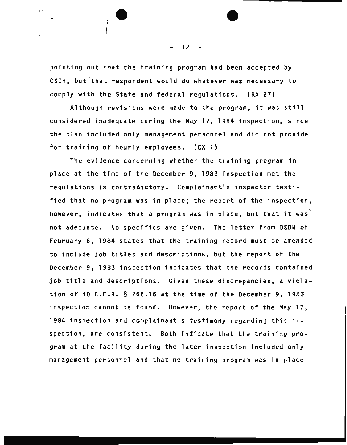pointing out that the training program had been accepted by OSDH, but that respondent would do whatever was necessary to comply with the State and federal regulations. (RX 27)

In the set of  $\overline{\phantom{a}}$ 

Although revisions were made to the program, it was still considered inadequate during the May 17, 1984 inspection, since the plan included only management personnel and did not provide for training of hourly employees. (CX 1)

The evidence concerning whether the training program in place at the time of the December 9, 1983 inspection met the regulations is contradictory. Complainant's inspector testified that no program was in place; the report of the inspection, however, indicates that a program was in place, but that it was<sup>\*</sup> not adequate. No specifics are given. The letter from OSOH of February 6, 1984 states that the training record must be amended to include job titles and descriptions, but the report of the December 9, 1983 inspection indicates that the records contained job title and descriptions. Given these discrepancies, a violation of 40 C.F.R. § 265.16 at the time of the December 9, 1983 inspection cannot be found. However, the report of the May 17, 1984 inspection and complainant's testimony regarding this inspection, are consistent. Both indicate that the training program at the facility during the later inspection included only management personnel and that no training program was in place

12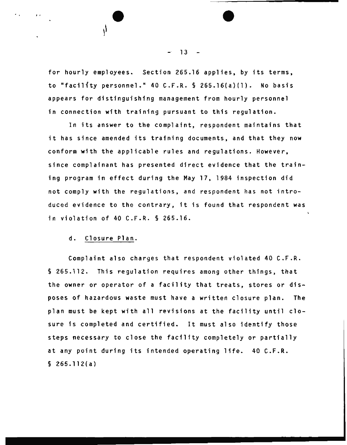for hourly employees. Section 265.16 applies, by its terms, to "facility personnel." 40 C.F.R.  $\S$  265.16(a)(1). No basis appears for distinguishing management from hourly personnel in connection with training pursuant to this regulation.

It is a property of  $\overline{\bullet}$ 

In its answer to the complaint, respondent maintains that it has since amended its training documents, and that they now conform with the applicable rules and regulations. However, since complainant has presented direct evidence that the training program in effect during the May 17, 1984 inspection did not comply with the regulations, and respondent has not introduced evidence to the contrary, it is found that respondent was in violation of 40 C.F.R. § 265.16.

## d. Closure Plan.

Complaint also charges that respondent violated 40 C.F.R. § 265.112. This regulation requires among other things, that the owner or operator of a facility that treats, stores or disposes of hazardous waste must have a written closure plan. The plan must be kept with all revisions at the facility until closure is completed and certified. It must also identify those steps necessary to close the facility completely or partially at any point during its intended operating life. 40 C.F.R. § 265.112(a)

 $13 - -$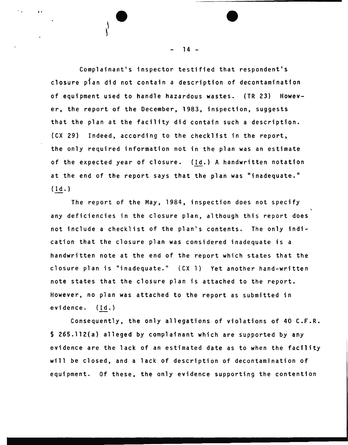Complainant's inspector testified that respondent's closure pian did not contain a description of decontamination of equipment used to handle hazardous wastes. (TR 23) However, the report of the December, 1983, inspection, suggests that the plan at the facility did contain such a description. (CX 29) Indeed, according to the checklist in the report, the only required information not in the plan was an estimate of the expected year of closure. (Id.) A handwritten notation at the end of the report says that the plan was "inadequate."  $(Id.)$ 

The report of the May, 1984, inspection does not specify any deficiencies in the closure plan, although this report does not include a checklist of the plan's contents. The only indication that the closure plan was considered inadequate is a handwritten note at the end of the report which states that the closure plan is "inadequate." {CX l} Yet another hand-written note states that the closure plan is attached to the report. However, no plan was attached to the report as submitted in evidence. (Id.)

Consequently, the only allegations of violations of 40 C.F.R. § 265.112(a) alleged by complainant which are supported by any evidence are the lack of an estimated date as to when the facility will be closed, and a lack of description of decontamination of equipment. Of these, the only evidence supporting the contention

14 -

—<br>●<br>

 $\mathcal{E}$ 

*1* r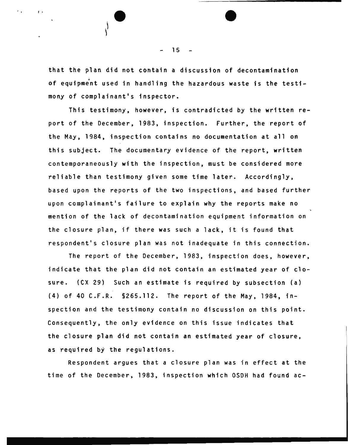that the plan did not contain a discussion of decontamination of equipment used in handling the hazardous waste is the testimony of complainant's inspector.

This testimony, however, is contradicted by the written report of the December, 1983, inspection. Further, the report of the May, 1984, inspection contains no documentation at all on this subject. The documentary evidence of the report, written contemporaneously with the inspection, must be considered more reliable than testimony given some time later. Accordingly, based upon the reports of the two inspections, and based further upon complainant's failure to explain why the reports make no mention of the lack of decontamination equipment information on the closure plan, if there was such a lack, it is found that respondent's closure plan was not inadequate in this connection.

The report of the December, 1983, inspection does, however, indicate that the plan did not contain an estimated year of closure. (CX 29) Such an estimate is required by subsection (a) (4) of 40 C.F.R. §265.112. The report of the May, 1984, inspection and the testimony contain no discussion on this point. Consequently, the only evidence on this issue indicates that the closure plan did not contain an estimated year of closure, as required by the regulations.

Respondent argues that a closure plan was in effect at the time of the December, 1983, inspection which OSDH had found ac-

15

 $\overline{\phantom{a}}$ 

 $\mathbf{I}$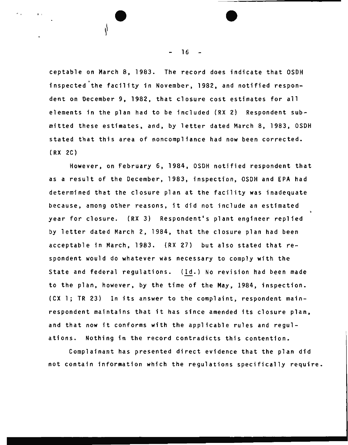ceptable on March 8, 1983. The record does indicate that OSDH inspected the facility in November, 1982, and notified respondent on December 9, 1982, that closure cost estimates for all elements in the plan had to be included (RX 2) Respondent submitted these estimates, and, by letter dated March 8, 1983, OSDH stated that this area of noncompliance had now been corrected. (RX 2C)

However, on February 6, 1984, OSDH notified respondent that as a result of the December, 1983, inspection, OSDH and EPA had determined that the closure plan at the facility was inadequate because, among other reasons, it did not include an estimated year for closure. (RX 3) Respondent•s plant engineer replied by letter dated March 2, 1984, that the closure plan had been acceptable in March, 1983. (RX 27) but also stated that respondent would do whatever was necessary to comply with the State and federal regulations. (Id.) No revision had been made to the plan, however, by the time of the May, 1984, inspection. (CX 1; TR 23) In its answer to the complaint, respondent mainrespondent maintains that it has since amended its closure plan, and that now it conforms with the applicable rules and regulations. Nothing in the record contradicts this contention.

Complainant has presented direct evidence that the plan did not contain information which the regulations specifically require.

16

 $\begin{array}{ccc} \mathbf{0} & \mathbf{0} & \mathbf{0} & \mathbf{0} & \mathbf{0} & \mathbf{0} & \mathbf{0} & \mathbf{0} & \mathbf{0} & \mathbf{0} & \mathbf{0} & \mathbf{0} & \mathbf{0} & \mathbf{0} & \mathbf{0} & \mathbf{0} & \mathbf{0} & \mathbf{0} & \mathbf{0} & \mathbf{0} & \mathbf{0} & \mathbf{0} & \mathbf{0} & \mathbf{0} & \mathbf{0} & \mathbf{0} & \mathbf{0} & \mathbf{0} & \mathbf{0} & \mathbf{0} & \mathbf$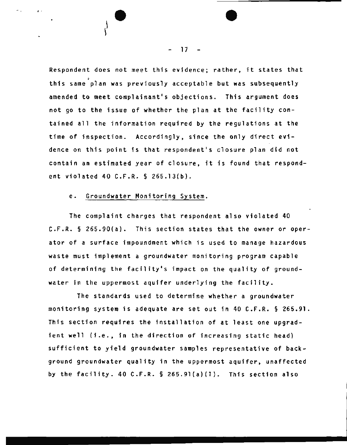Respondent does not meet this evidence; rather, it states that this same plan was previously acceptable but was subsequently amended to meet complainant's objections. This argument does not go to the issue of whether the plan at the facility contained all the information required by the regulations at the time of inspection. Accordingly, since the only direct evidence on this point is that respondent's closure plan did not contain an estimated year of closure, it is found that respondent violated 40 C.F.R. § 265.13(b).

# e. Groundwater Monitoring System.

 $\begin{array}{ccc} \ddots & \ddots & \ddots \end{array}$ 

The complaint charges that respondent also violated 40 C.F.R. § 265.90(a). This section states that the owner or operator of a surface impoundment which is used to manage hazardous waste must implement a groundwater monitoring program capable of determining the facility's impact on the quality of groundwater in the uppermost aquifer underlying the facility.

The standards used to determine whether a groundwater monitoring system is adequate are set out in 40 C.F.R. § 265 . 91. This section requires the installation of at least one upgradient well (i.e., in the direction of increasing static head) sufficient to yield groundwater samples representative of background groundwater quality in the uppermost aquifer, unaffected by the facility. 40 C.F.R. § 265.91(a)(1). This section also

17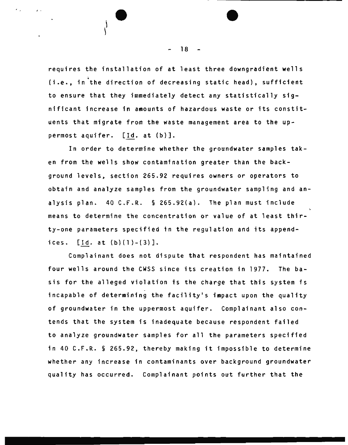requires the installation of at least three downgradient wells (i.e., in~the direction of decreasing static head), sufficient to ensure that they immediately detect any statistically significant increase in amounts of hazardous waste or its constituents that migrate from the waste management area to the uppermost aquifer. [Id. at (b)].

In order to determine whether the groundwater samples taken from the wells show contamination greater than the background levels, section 265.92 requires owners or operators to obtain and analyze samples from the groundwater sampling and analysis plan. 40 C.F.R. § 265.92(a). The plan must include means to determine the concentration or value of at least thirty - one parameters specified in the regulation and its appendices.  $[Id. at (b)(1)-(3)].$ 

Complainant does not dispute that respondent has maintained four wells around the CWSS since its creation in 1977. The basis for the alleged violation is the charge that this system is incapable of determining the facility's impact upon the quality of groundwater in the uppermost aquifer. Complainant also contends that the system is inadequate because respondent failed to analyze groundwater samples for all the parameters specified in 40 C.F.R. § 265.92, thereby making it impossible to determine whether any increase in contaminants over background groundwater quality has occurred. Complainant points out further that the

18

 $\begin{pmatrix} 1 & 0 & 0 & 0 \\ 0 & 0 & 0 & 0 \\ 0 & 0 & 0 & 0 \\ 0 & 0 & 0 & 0 \\ 0 & 0 & 0 & 0 \\ 0 & 0 & 0 & 0 \\ 0 & 0 & 0 & 0 \\ 0 & 0 & 0 & 0 \\ 0 & 0 & 0 & 0 \\ 0 & 0 & 0 & 0 \\ 0 & 0 & 0 & 0 & 0 \\ 0 & 0 & 0 & 0 & 0 \\ 0 & 0 & 0 & 0 & 0 \\ 0 & 0 & 0 & 0 & 0 & 0 \\ 0 & 0 & 0 & 0 & 0 & 0 \\ 0 & 0 & 0 & 0 &$ 

'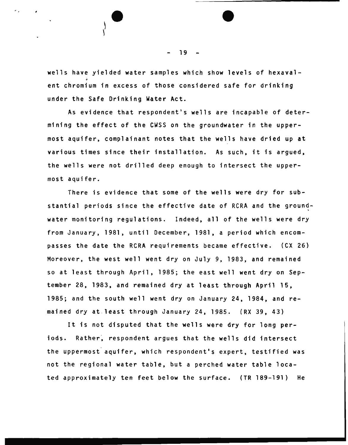wells have yielded water samples which show levels of hexavalent chromium in excess of those considered safe for drinking under the Safe Drinking Water Act.

As evidence that respondent's wells are incapable of determining the effect of the CWSS on the groundwater in the uppermost aquifer, complainant notes that the wells have dried up at various times since their installation. As such, it is argued, the wells were not drilled deep enough to intersect the uppermost aquifer.

There is evidence that some of the wells were dry for substantial periods since the effective date of RCRA and the groundwater monitoring regulations. Indeed, all of the wells were dry from January, 1981, until December, 1981, a period which encompasses the date the RCRA requirements became effective. (CX 26) Moreover, the west well went dry on July 9, 1983, and remained so at least through April, 1985; the east well went dry on September 28, 1983, and remained dry at least through April 15, 1985; and the south well went dry on January 24, 1984, and remained dry at least through January 24, 1985. (RX 39, 43)

It is not disputed that the wells were dry for long periods. Rather, respondent argues that the wells did intersect the uppermost aquifer, which respondent's expert, testified was not the regional water table, but a perched water table located approximately ten feet below the surface. (TR 189-191) He

19

**•**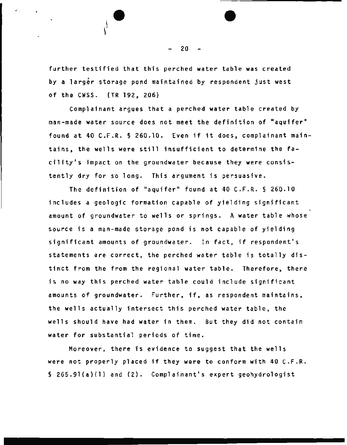further testified that this perched water table was created by a larger storage pond maintained by respondent just west of the CWSS. (TR 192, 206)

. The set of  $\overline{\phantom{a}}$ 

Complainant argues that a perched water table created by man-made water source does not meet the definition of "aquifer" found at 40 C.F.R. § 260.10. Even if it does, complainant maintains, the wells were still insufficient to determine the facility's impact on the groundwater because they were consistently dry for so long. This argument is persuasive.

The definition of "aquifer" found at 40 C.F.R.  $\S$  260.10 includes a geologic formation capable of yielding significant amount of groundwater to wells or springs. A water table whose source is a man-made storage pond is not capable of yielding significant amounts of groundwater. In fact, if respondent's statements are correct, the perched water table is totally distinct from the from the regional water table. Therefore, there is no way this perched water table could include significant amounts of groundwater. Further, if, as respondent maintains, the wells actually intersect this perched water table, the wells should have had water in them. But they did not contain water for substantial periods of time.

Moreover, there is evidence to suggest that the wells were not properly placed if they were to conform with 40 C.F.R. § 265.9l(a)(l) and (2). Complainant's expert geohydrologist

20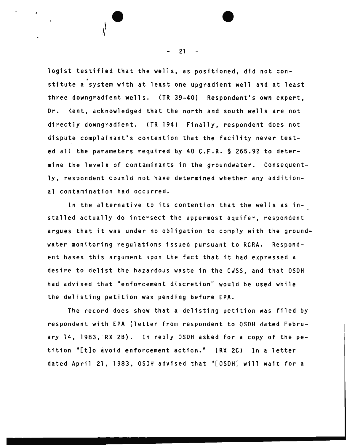logist testified that the wells, as positioned, did not con stitute a<sup>2</sup> system with at least one upgradient well and at least three downgradient wells. (TR 39-40) Respondent's own expert, Dr. Kent, acknowledged that the north and south wells are not directly downgradient. (TR 194) Finally, respondent does not dispute complainant's contention that the facility never tested all the parameters required by 40 C.F.R. § 265.92 to determine the levels of contaminants in the groundwater. Consequently, respondent counld not have determined whether any additional contamination had occurred.

In the alternative to its contention that the wells as installed actually do intersect the uppermost aquifer, respondent argues that it was under no obligation to comply with the groundwater monitoring regulations issued pursuant to RCRA. Respondent bases this argument upon the fact that it had expressed a desire to delist the hazardous waste in the CWSS, and that OSDH had advised that "enforcement discretion" would be used while the delisting petition was pending before EPA.

The record does show that a delisting petition was filed by respondent with EPA (letter from respondent to OSDH dated February 14, 1983, RX 2B). In reply OSDH asked for a copy of the petition "[t]o avoid enforcement action." (RX 2C) In a letter dated April 21, 1983, OSDH advised that "[OSDH] will wait for a

21

•

 $\mathbf{e}$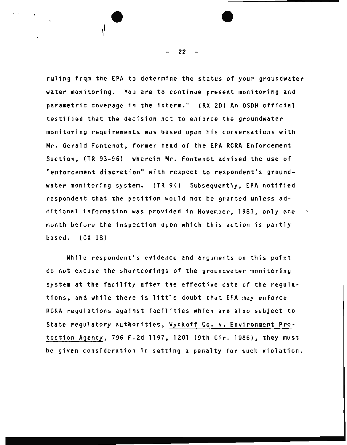ruling frqm the EPA to determine the status of your groundwater water monitoring. You are to continue present monitoring and parametric coverage in the interm." (RX 20} An OSOH official testified that the decision not to enforce the groundwater monitoring requirements was based upon his conversations with Mr. Gerald Fontenot, former head of the EPA RCRA Enforcement Section, (TR 93-96) wherein Mr. Fontenot advised the use of "enforcement discretion" with respect to respondent's groundwater monitoring system. {TR 94) Subsequently, EPA notified respondent that the petition would not be granted unless additional information was provided in November, 1983, only one month before the inspection upon which this action is partly based. (CX 18)

While respondent's evidence and arguments on this point do not excuse the shortcomings of the groundwater monitoring system at the facility after the effective date of the regulations, and while there is little doubt that EPA may enforce RCRA regulations against facilities which are also subject to State regulatory authorities, Wyckoff Co. v. Environment Protection Agency, 796 F.2d 1197, 1201 (9th Cir. 1986), they must be given consideration in setting a penalty for such violation.

22

. and the set of  $\overline{\phantom{a}}$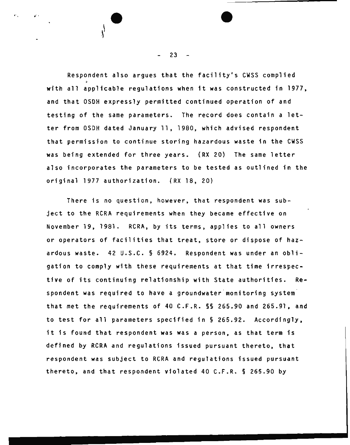Respondent also argues that the facility's CWSS complied with all applicable regulations when it was constructed in 1977, and that OSDH expressly permitted continued operation of and testing of the same parameters. The record does contain a letter from OSDH dated January 11, 1980, which advised respondent that permission to continue storing hazardous waste in the CWSS was being extended for three years. (RX 20) The same letter also incorporates the parameters to be tested as outlined in the original 1977 authorization. (RX 18, 20)

There is no question, however, that respondent was subject to the RCRA requirements when they became effective on November 19, 1981. RCRA, by its terms, applies to all owners or operators of facilities that treat, store or dispose of hazardous waste. 42 U.S.C. § 6924. Respondent was under an obligation to comply with these requirements at that time irrespective of its continuing relationship with State authorities. Respondent was required to have a groundwater monitoring system that met the requirements of 40 C.F.R. §§ 265.90 and 265.91, and to test for all parameters specified in§ 265.92. Accordingly, it is found that respondent was was a person, as that term is defined by RCRA and regulations issued pursuant thereto, that respondent was subject to RCRA and regulations issued pursuant thereto, and that respondent violated 40 C.F.R. § 265.90 by

 $23 -$ 

 $\begin{array}{ccc} \cdot & \cdot & \cdot & \cdot & \cdot \\ \cdot & \cdot & \cdot & \cdot & \cdot \\ \cdot & \cdot & \cdot & \cdot & \cdot \end{array}$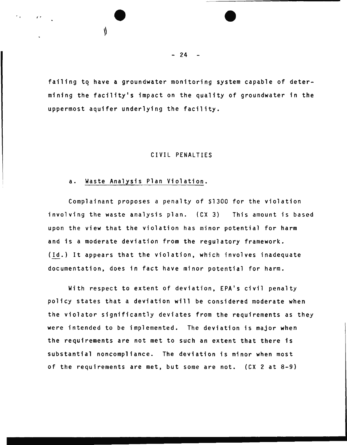failing to have a groundwater monitoring system capable of determining the facility•s impact on the quality of groundwater in the uppermost aquifer underlying the facility.

# CIVIL PENALTIES

#### a. Waste Analysis Plan Violation.

, .. • •

Complainant proposes a penalty of \$1300 for the violation involving the waste analysis plan. (CX 3) This amount is based upon the view that the violation has minor potential for harm and is a moderate deviation from the regulatory framework. (Id.) It appears that the violation, which involves inadequate documentation, does in fact have minor potential for harm.

With respect to extent of deviation, EPA's civil penalty policy states that a deviation will be considered moderate when the violator significantly deviates from the requirements as they were intended to be implemented. The deviation is major when the requirements are not met to such an extent that there is substantial noncompliance. The deviation is minor when most of the requirements are met, but some are not. (CX 2 at 8-9)

 $- 24 -$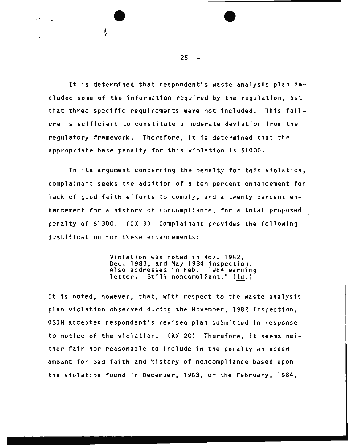It is determined that respondent's waste analysis plan included some of the information required by the regulation, but that three specific requirements were not included. This failure is sufficient to constitute a moderate deviation from the regulatory framework. Therefore, it is determined that the appropriate base penalty for this violation is \$1000.

In its argument concerning the penalty for this violation, complainant seeks the addition of a ten percent enhancement for lack of good faith efforts to comply, and a twenty percent enhancement for a history of noncompliance, for a total proposed penalty of \$1300. (CX 3) Complainant provides the following justification for these enhancements:

> Violation was noted in Nov. 1982. Dec. 1983, and May 1984 inspection.<br>Also addressed in Feb. 1984 warning<br>letter. Still noncompliant." (Id.)

It is noted, however, that, with respect to the waste analysis plan violation observed during the November, 1982 inspection, OSDH accepted respondent's revised plan submitted in response to notice of the violation. (RX 2C) Therefore, it seems neither fair nor reasonable to include in the penalty an added amount for bad faith and history of noncompliance based upon the violation found in December, 1983, or the February, 1984,

25

:- •r • •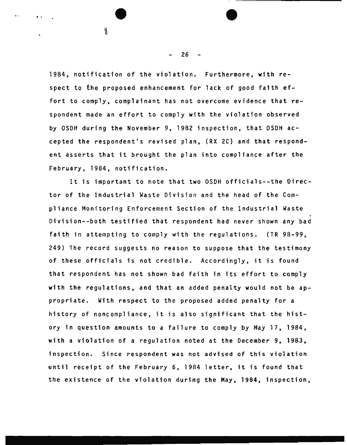1984, notification of the violation. Furthermore, with respect to the proposed enhancement for lack of good faith effort to comply, complainant has not overcome evidence that respondent made an effort to comply with the violation observed by OSDH during the November 9, 1982 inspection, that OSDH accepted the respondent's revised plan, (RX 2C) and that respondent asserts that it brought the plan into compliance after the February, 1984, notification.

It is important to note that two OSDH officials--the Director of the Industrial Waste Division and the head of the Compliance Monitoring Enforcement Section of the Industrial Waste Division--both testified that respondent had never shown any bad faith in attempting to comply with the regulations. (TR 98-99, 249) The record suggests no reason to suppose that the testimony of these officials is not credible. Accordingly, it is found that respondent has not shown bad faith in its effort to comply with the regulations, and that an added penalty would not be appropriate. With respect to the proposed added penalty for a history of noncompliance, it is also significant that the history in question amounts to a failure to comply by May 17, 1984, with a violation of a regulation noted at the December 9, 1983, inspection. Since respondent was not advised of this violation until receipt of the February 6, 1984 letter, it is found that the existence of the violation during the May, 1984, inspection,

26

 $^{\circ}$ 

. '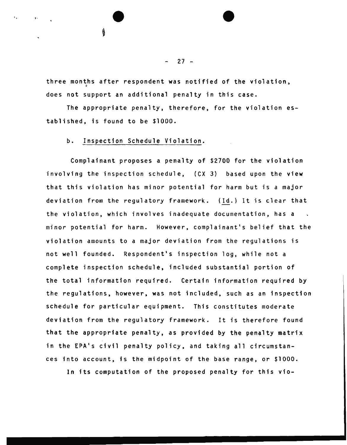three months after respondent was notified of the violation, does not support an additional penalty in this case.

The appropriate penalty, therefore, for the violation  $es$ tablished, is found to be \$1000.

# b. Inspection Schedule Violation.

, and the set of  $\overline{\mathbf{v}}$ 

Complainant proposes a penalty of \$2700 for the violation involving the inspection schedule, {CX 3} based upon the view that this violation has minor potential for harm but is a major deviation from the regulatory framework. (Id.) It is clear that the violation, which involves inadequate documentation, has a minor potential for harm. However, complainant's belief that the violation amounts to a major deviation from the regulations is not well founded. Respondent's inspection log, while not a complete inspection schedule, included substantial portion of the total information required. Certain information required by the regulations, however, was not included, such as an inspection schedule for particular equipment. This constitutes moderate deviation from the regulatory framework. It is therefore found that the appropriate penalty, as provided by the penalty matrix in the EPA's civil penalty policy, and taking all circumstances into account, is the midpoint of the base range, or \$1000.

In its computation of the proposed penalty for this vio-

 $27 -$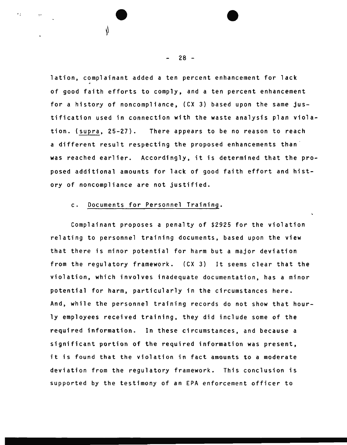lation, complainant added a ten percent enhancement for lack ~ of good faith efforts to comply, and a ten percent enhancement for a history of noncompliance, (CX 3) based upon the same justification used in connection with the waste analysis plan violation. (supra, 25-27). There appears to be no reason to reach a different result respecting the proposed enhancements than was reached earlier. Accordingly, it is determined that the proposed additional amounts for lack of good faith effort and history of noncompliance are not justified.

# c. Documents for Personnel Training.

:• • •

 $\mathbf{r}$  .

Complainant proposes a penalty of \$2925 for the violation relating to personnel training documents, based upon the view that there is minor potential for harm but a major deviation from the regulatory framework. (CX 3) It seems clear that the violation, which involves inadequate documentation, has a minor potential for harm, particularly in the circumstances here. And, while the personnel training records do not show that hourly employees received training, they did include some of the required information. In these circumstances, and because a significant portion of the required information was present, it is found that the violation in fact amounts to a moderate deviation from the regulatory framework. This conclusion is supported by the testimony of an EPA enforcement officer to

28 -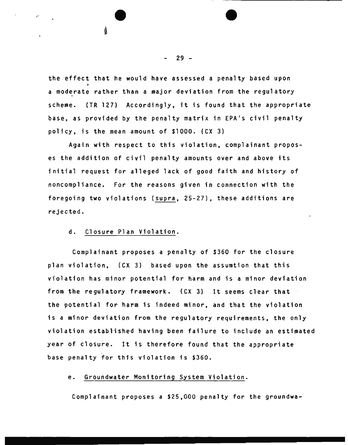the effect that he would have assessed a penalty based upon a moderate rather than a major deviation from the regulatory scheme. (TR 127) Accordingly, it is found that the appropriate base, as provided by the penalty matrix in EPA's civil penalty policy, is the mean amount of \$1000. (CX 3)

Again with respect to this violation, complainant proposes the addition of civil penalty amounts over and above its initial request for alleged lack of good faith and history of noncompliance. For the reasons given in connection with the foregoing two violations (supra, 25-27), these additions are rejected.

# d. Closure Plan Violation.

Complainant proposes a penalty of \$360 for the closure plan violation, (CX 3) based upon the assumtion that this violation has minor potential for harm and is a minor deviation from the regulatory framework. {CX 3) It seems clear that the potential for harm is indeed minor, and that the violation is a minor deviation from the regulatory requirements, the only violation established having been failure to include an estimated year of closure. It is therefore found that the appropriate base penalty for this violation is \$360.

# e. Groundwater Monitoring System Violation.

Complainant proposes a \$25,000 penalty for the groundwa-

29 -

,, • •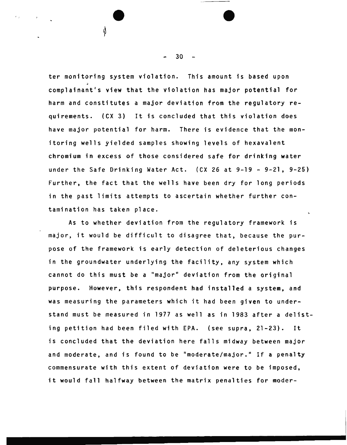ter monitoring system violation. This amount is based upon complainant's view that the violation has major potential for harm and constitutes a major deviation from the regulatory requirements. (CX 3) It is concluded that this violation does have major potential for harm. There is evidence that the monitoring wells yielded samples showing levels of hexavalent chromium in excess of those considered safe for drinking water under the Safe Drinking Water Act. (CX 26 at 9-19 - 9-21, 9-25) Further, the fact that the wells have been dry for long periods in the past limits attempts to ascertain whether further contamination has taken place.

As to whether deviation from the regulatory framework is major, it would be difficult to disagree that, because the purpose of the framework is early detection of deleterious changes in the groundwater underlying the facility, any system which cannot do this must be a "major" deviation from the original purpose. However, this respondent had installed a system, and was measuring the parameters which it had been given to understand must be measured in 1977 as well as in 1983 after a delisting petition had been filed with EPA. (see supra, 21-23). It is concluded that the deviation here falls midway between major and moderate, and is found to be "moderate/major." If a penalty commensurate with this extent of deviation were to be imposed, it would fall halfway between the matrix penalties for moder-

30

' • •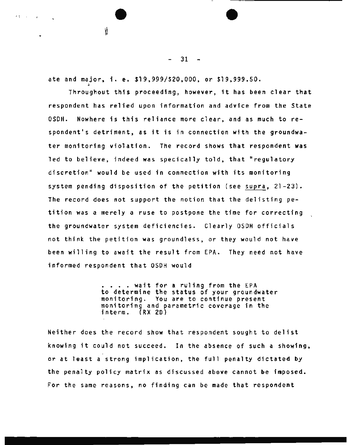ate and major, i. e. \$19,999/\$20,000, or \$19,999.50.

 $\begin{array}{ccc} \begin{array}{ccc} \bullet & \bullet & \bullet & \bullet & \bullet \end{array} \end{array}$ 

**Charles Carlos** 

Throughout this proceeding, however, it has been clear that respondent has relied upon information and advice from the State OSDH. Nowhere is this reliance more clear, and as much to respondent's detriment, as it is in connection with the groundwater monitoring violation. The record shows that respondent was led to believe, indeed was specically told, that "regulatory discretion" would be used in connection with its monitoring system pending disposition of the petition (see supra, 21-23). The record does not support the notion that the delisting petition was a merely a ruse to postpone the time for correcting the groundwater system deficiencies. Clearly OSDH officials not think the petition was groundless, or they would not have been willing to await the result from EPA. They need not have informed respondent that OSDH would

> •••• wait for a ruling from the EPA to determine the status of your groundwater monitoring. You are to continue present monitoring and parametric coverage in the interm. (RX 20)

Neither does the record show that respondent sought to delist knowing it could not succeed. In the absence of such a showing, or at least a strong implication, the full penalty dictated by the penalty policy matrix as discussed above cannot be imposed. For the same reasons, no finding can be made that respondent

 $-31 -$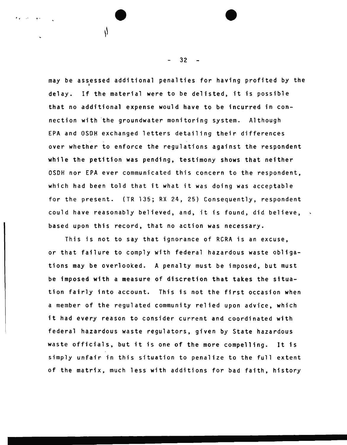may be assessed additional penalties for having profited by the delay. If the material were to be delisted, it is possible that no additional expense would have to be incurred in connection with the groundwater monitoring system. Although EPA and OSOH exchanged letters detailing their differences over whether to enforce the regulations against the respondent while the petition was pending, testimony shows that neither OSOH nor EPA ever communicated this concern to the respondent, which had been told that it what it was doing was acceptable for the present. (TR 135; RX 24, 25) Consequently, respondent could have reasonably believed, and, it is found, did believe, based upon this record, that no action was necessary.

This is not to say that ignorance of RCRA is an excuse, or that failure to comply with federal hazardous waste obligations may be overlooked. A penalty must be imposed, but must be imposed with a measure of discretion that takes the situation fairly into account. This is not the first occasion when a member of the regulated community relied upon advice, which it had every reason to consider current and coordinated with federal hazardous waste regulators, given by State hazardous waste officials, but it is one of the more compelling. It is simply unfair in this situation to penalize to the full extent of the matrix, much less with additions for bad faith, history

32

 $\begin{array}{ccc} \bullet & \bullet & \bullet & \bullet \end{array}$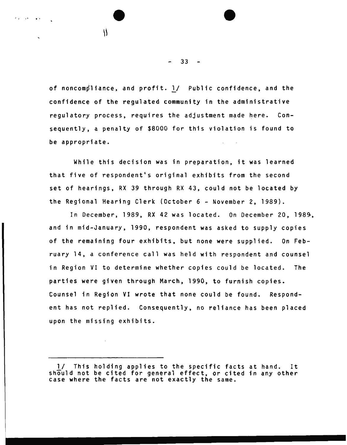of noncompliance, and profit. 1/ Public confidence, and the confidence of the regulated community in the administrative regulatory process, requires the adjustment made here. Consequently, a penalty of \$8000 for this violation is found to be appropriate.

 $\begin{array}{ccc} \mathbf{0} & \mathbf{0} & \mathbf{0} & \mathbf{0} & \mathbf{0} & \mathbf{0} & \mathbf{0} & \mathbf{0} & \mathbf{0} & \mathbf{0} & \mathbf{0} & \mathbf{0} & \mathbf{0} & \mathbf{0} & \mathbf{0} & \mathbf{0} & \mathbf{0} & \mathbf{0} & \mathbf{0} & \mathbf{0} & \mathbf{0} & \mathbf{0} & \mathbf{0} & \mathbf{0} & \mathbf{0} & \mathbf{0} & \mathbf{0} & \mathbf{0} & \mathbf{0} & \mathbf{0} & \mathbf$ 

While this decision was in preparation, it was learned that five of respondent's original exhibits from the second set of hearings, RX 39 through RX 43, could not be located by the Regional Hearing Clerk (October 6 - November 2, 1989).

In December, 1989, RX 42 was located. On December 20, 1989, and in mid-January, 1990, respondent was asked to supply copies of the remaining four exhibits, but none were supplied. On February 14, a conference call was held with respondent and counsel in Region VI to determine whether copies could be located. The parties were given through March, 1990, to furnish copies. Counsel in Region VI wrote that none could be found. Respondent has not replied. Consequently, no reliance has been placed upon the missing exhibits.

 $33 -$ 

<sup>1/</sup> This holding applies to the specific facts at hand. It should not be cited for general effect, or cited in any other case where the facts are not exactly the same.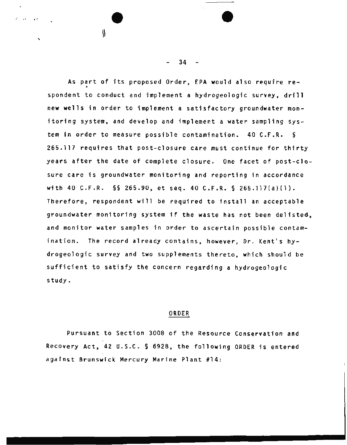As part of its proposed Order, EPA would also require respondent to conduct and implement a hydrogeologic survey, drill new wells in order to implement a satisfactory groundwater monitoring system, and develop and implement a water sampling system in order to measure possible contamination. 40 C.F.R. § 265.117 requires that post-closure care must continue for thirty years after the date of complete closure. One facet of post-closure care is groundwater monitoring and reporting in accordance with 40 C.F.R. §§ 265.90, et seq. 40 C.F.R. § 265.117(a)(l). Therefore, respondent will be required to install an acceptable groundwater monitoring system if the waste has not been delisted, and monitor water samples in order to ascertain possible contamination. The record already contains, however, Dr. Kent's hydrogeologic survey and two supplements thereto, which should be sufficient to satisfy the concern regarding a hydrogeologic study.

#### ORDER

Pursuant to Section 3008 of the Resource Conservation and Recovery Act, 42 U.S.C. § 6928, the following ORDER is entered against Brunswick Mercury Marine Plant #14:

 $34 -$ 

 $\overline{\bullet}$ 

 $\mathcal{L} = \mathcal{L} \times \mathcal{L}$ 

'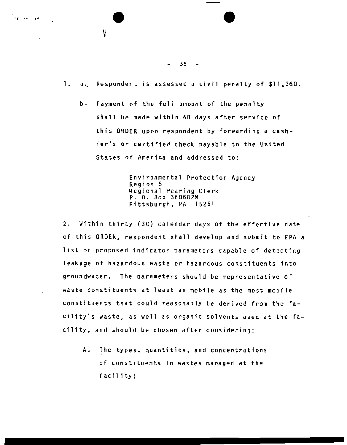$-35 -$ 

1. a., Respondent is assessed a civil penalty of \$11,360.

b. Payment of the full amount of the penalty shall be made within 60 days after service of this ORDER upon respondent by forwarding a cashier's or certified check payable to the United States of America and addressed to:

> Environmental Protection Agency Region 6 Regional Hearing Clerk P. 0. Box 360582M Pittsburgh, PA 15251

2. Within thirty (30) calendar days of the effective date of this ORDER, respondent shall develop and submit to EPA a list of proposed indicator parameters capable of detecting leakage of hazardous waste or hazardous constituents into groundwater. The parameters should be representative of waste constituents at least as mobile as the most mobile constituents that could reasonably be derived from the facility's waste, as well as organic solvents used at the facility, and should be chosen after considering:

A. The types, quantities, and concentrations of constituents in wastes managed at the facility;

 $\overline{\phantom{a}}$ 

• <sup>f</sup>'" • <sup>~</sup>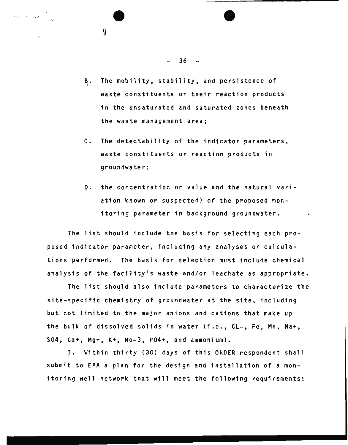B. The mobility, stability, and persistence of waste constituents or their reaction products in the unsaturated and saturated zones beneath the waste management area;

- C. The detectability of the indicator parameters, waste constituents or reaction products in groundwater;
- D. the concentration or value and the natural variation known or suspected) of the proposed monitoring parameter in background groundwater.

The list should include the basis for selecting each proposed indicator parameter, including any analyses or calculations performed. The basis for selection must include chemical analysis of the facility's waste and/or leachate as appropriate.

The list should also include parameters to characterize the site-specific chemistry of groundwater at the site, including but not limited to the major anions and cations that make up the bulk of dissolved solids in water (i.e., CL-, Fe, Mn, Na+, S04, Ca+, Mg+, K+, No-3, P04+, and ammonium).

3. Within thirty (30) days of this ORDER respondent shall submit to EPA a plan for the design and installation of a monitoring well network that will meet the following requirements:

36

' .. • •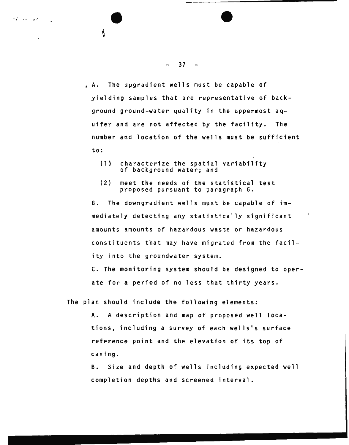. A. The upgradient wells must be capable of yielding samples that are representative of background ground-water quality in the uppermost aquifer and are not affected by the facility. The number and location of the wells must be sufficient to:

- (1) characterize the spatial variability of background water; and
- (2) meet the needs of the statistical test proposed pursuant to paragraph 6.

B. The downgradient wells must be capable of immediately detecting any statistically significant amounts amounts of hazardous waste or hazardous constituents that may have migrated from the facility into the groundwater system.

c. The monitoring system should be designed to operate for a period of no less that thirty years.

The plan should include the following elements:

A. A description and map of proposed well locations, including a survey of each wells's surface reference point and the elevation of its top of casing.

B. Size and depth of wells including expected well completion depths and screened interval.

#### $37 -$

• t ' • • • •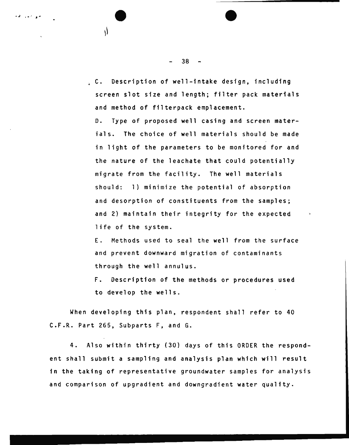C. Description of well-intake design, including screen slot size and length; filter pack materials and method of filterpack emplacement.

D. Type of proposed well casing and screen materials. The choice of well materials should be made in light of the parameters to be monitored for and the nature of the leachate that could potentially migrate from the facility. The well materials should: 1) minimize the potential of absorption and desorption of constituents from the samples; and 2) maintain their integrity for the expected life of the system.

E. Methods used to seal the well from the surface and prevent downward migration of contaminants through the well annulus.

F. Description of the methods or procedures used to develop the wells.

When developing this plan, respondent shall refer to 40 C.F.R. Part 265, Subparts F, and G.

4. Also within thirty (30) days of this ORDER the respondent shall submit a sampling and analysis plan which will result in the taking of representative groundwater samples for analysis and comparison of upgradient and downgradient water quality.

38

 $\overline{\bullet}$ 

Ŵ

من جدر ف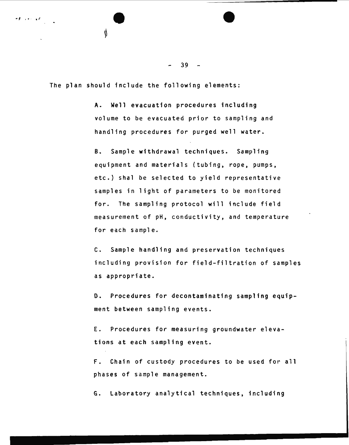39

The plan should include the following elements:

A. Well evacuation procedures including volume to be evacuated prior to sampling and handling procedures for purged well water.

B. Sample withdrawal techniques. Sampling equipment and materials (tubing, rope, pumps, etc.) shal be selected to yield representative samples in light of parameters to be monitored for. The sampling protocol will include field measurement of pH, conductivity, and temperature for each sample.

C. Sample handling and preservation techniques including provision for field-filtration of samples as appropriate.

D. Procedures for decontaminating sampling equipment between sampling events.

E. Procedures for measuring groundwater elevations at each sampling event.

F. Chain of custody procedures to be used for all phases of sample management.

G. Laboratory analytical techniques, including

 $\overline{\bullet}$ ≬

 $\sigma(\vec{p}) = \sqrt{2\pi\left(\vec{p} - \vec{p}\right)^2} \left( \vec{p} - \vec{p}\right)^2.$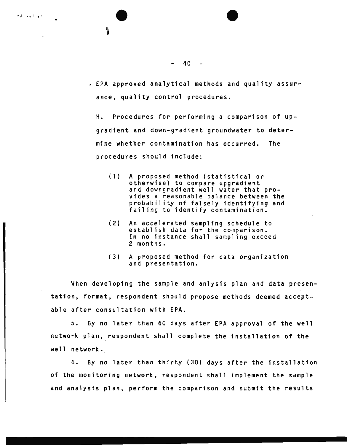

 $-40 -$ 

*4* EPA approved analytical methods and quality assurance, quality control procedures.

H. Procedures for performing a comparison of upgradient and down-gradient groundwater to determine whether contamination has occurred. The procedures should include:

- (1) A proposed method {statistical or and downgradient well water that provides a reasonable balance between the probability of falsely identifying and failing to identify contamination.
- (2) An accelerated sampling schedule to establish data for the comparison. In no instance shall sampling exceed 2 months.
- (3) A proposed method for data organization and presentation.

When developing the sample and anlysis plan and data presentation, format, respondent should propose methods deemed acceptable after consultation with EPA.

5. By no later than 60 days after EPA approval of the well network plan, respondent shall complete the installation of the well network.

6. By no later than thirty {30) days after the installation of the monitoring network, respondent shall implement the sample and analysis plan, perform the comparison and submit the results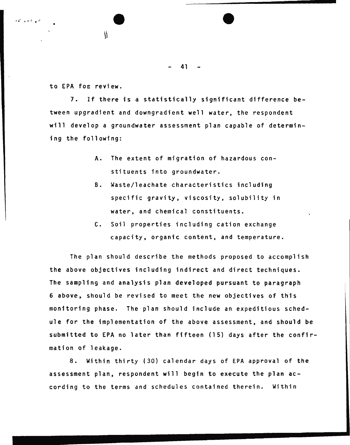$\qquad \qquad \bullet$ 

to EPA foe review.

7. If there is a statistically significant difference between upgradient and downgradient well water, the respondent will develop a groundwater assessment plan capable of determining the following:

- A. The extent of migration of hazardous constituents into groundwater.
- B. Waste/leachate characteristics including specific gravity, viscosity, solubility in water, and chemical constituents.
- C. Soil properties including cation exchange capacity, organic content, and temperature.

The plan should describe the methods proposed to accomplish the above objectives including indirect and direct techniques. The sampling and analysis plan developed pursuant to paragraph 6 above, should be revised to meet the new objectives of this monitoring phase. The plan should include an expeditious schedule for the implementation of the above assessment, and should be submitted to EPA no later than fifteen (15) days after the confirmation of leakage.

8. Within thirty (30) calendar days of EPA approval of the assessment plan, respondent will begin to execute the plan according to the terms and schedules contained therein. Within

•

منوافعه المحا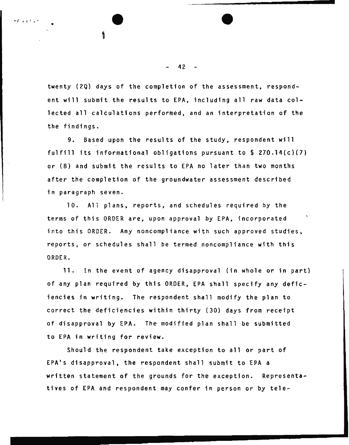twenty (2Q) days of the completion of the assessment, respondent will submit the results to EPA, including all raw data collected all calculations performed, and an interpretation of the the findings.

9. Based upon the results of the study, respondent will fulfill its informational obligations pursuant to  $\$$  270.14(c)(7) or (8) and submit the results to EPA no later than two months after the completion of the groundwater assessment described in paragraph seven.

10. All plans, reports, and schedules required by the terms of this ORDER are, upon approval by EPA, incorporated into this ORDER. Any noncompliance with such approved studies, reports, or schedules shall be termed noncompliance with this ORDER.

11. In the event of agency disapproval (in whole or in part) of any plan required by this ORDER, EPA shall specify any deficiencies in writing. The respondent shall modify the plan to correct the deficiencies within thirty (30) days from receipt of disapproval by EPA. The modified plan shall be submitted to EPA in writing for review.

Should the respondent take exception to all or part of EPA's disapproval, the respondent shall submit to EPA a written statement of the grounds for the exception. Representatives of EPA and respondent may confer in person or by tele-

#### $42 -$

 $\begin{array}{ccc} \cdot & \bullet & \bullet \end{array}$ 

,..; • f ~ *r r*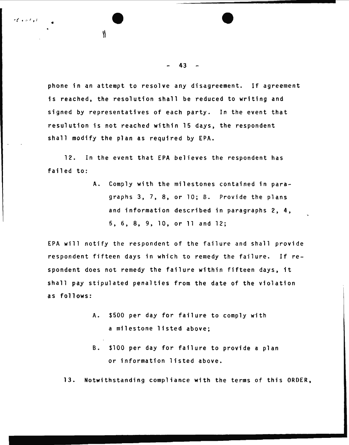phone in an attempt to resolve any disagreement. If agreement is reached, the resolution shall be reduced to writing and signed by representatives of each party. In the event that resulution is not reached within 15 days, the respondent shall modify the plan as required by EPA.

12. In the event that EPA believes the respondent has failed to:

> A. Comply with the milestones contained in paragraphs 3, 7, 8, or 10; B. Provide the plans and information described in paragraphs 2, 4, 5, 6, 8, 9, 10, or 11 and 12;

EPA will notify the respondent of the failure and shall provide respondent fifteen days in which to remedy the failure. If respondent does not remedy the failure within fifteen days, it shall pay stipulated penalties from the date of the violation as follows:

- A. \$500 per day for failure to comply with a milestone listed above;
- B. \$100 per day for failure to provide a plan or information listed above.

13. Notwithstanding compliance with the terms of this ORDER,

#### 43

• *(* • *i·* ' *1* <sup>I</sup>• • •